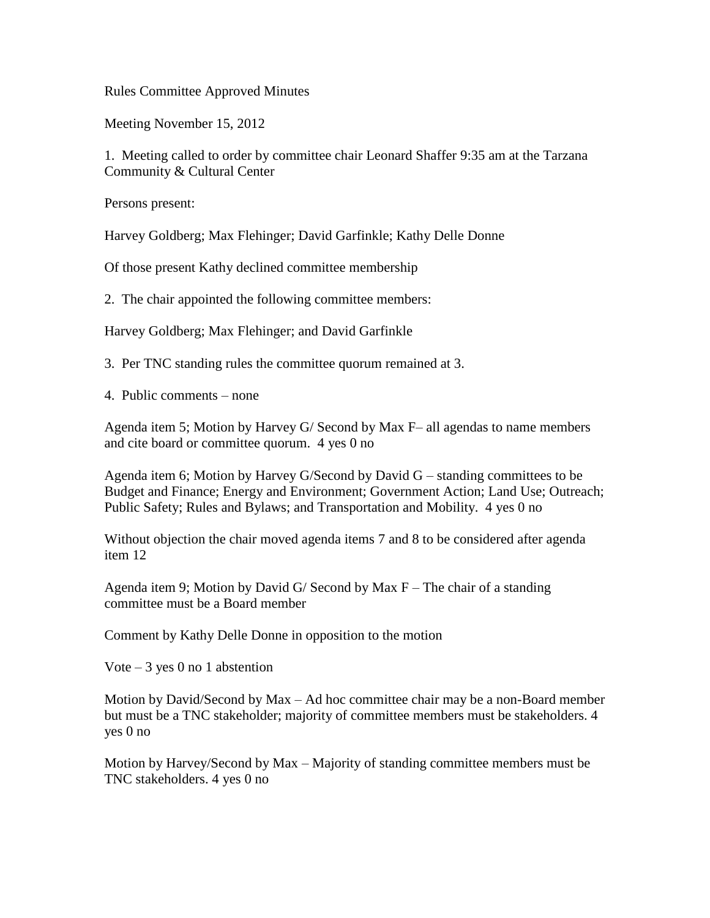Rules Committee Approved Minutes

Meeting November 15, 2012

1. Meeting called to order by committee chair Leonard Shaffer 9:35 am at the Tarzana Community & Cultural Center

Persons present:

Harvey Goldberg; Max Flehinger; David Garfinkle; Kathy Delle Donne

Of those present Kathy declined committee membership

2. The chair appointed the following committee members:

Harvey Goldberg; Max Flehinger; and David Garfinkle

3. Per TNC standing rules the committee quorum remained at 3.

4. Public comments – none

Agenda item 5; Motion by Harvey G/ Second by Max F– all agendas to name members and cite board or committee quorum. 4 yes 0 no

Agenda item 6; Motion by Harvey  $G/Second$  by David  $G$  – standing committees to be Budget and Finance; Energy and Environment; Government Action; Land Use; Outreach; Public Safety; Rules and Bylaws; and Transportation and Mobility. 4 yes 0 no

Without objection the chair moved agenda items 7 and 8 to be considered after agenda item 12

Agenda item 9; Motion by David G/ Second by Max  $F -$ The chair of a standing committee must be a Board member

Comment by Kathy Delle Donne in opposition to the motion

Vote  $-3$  yes 0 no 1 abstention

Motion by David/Second by Max – Ad hoc committee chair may be a non-Board member but must be a TNC stakeholder; majority of committee members must be stakeholders. 4 yes 0 no

Motion by Harvey/Second by Max – Majority of standing committee members must be TNC stakeholders. 4 yes 0 no